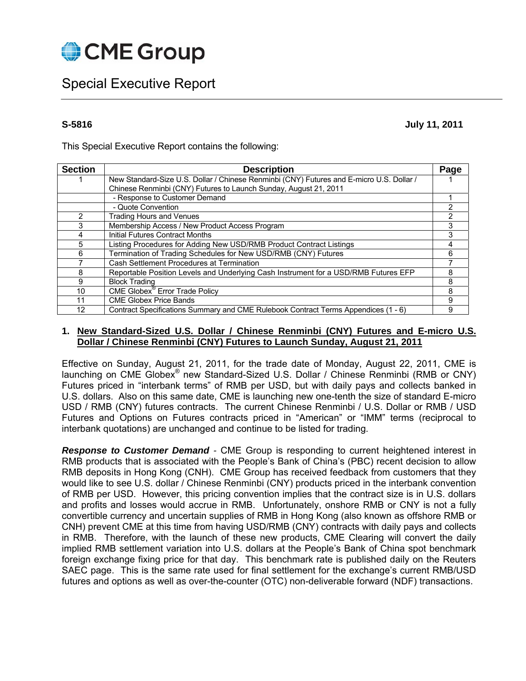

# Special Executive Report

**S-5816 July 11, 2011** 

This Special Executive Report contains the following:

| <b>Section</b> | <b>Description</b>                                                                       | Page |
|----------------|------------------------------------------------------------------------------------------|------|
|                | New Standard-Size U.S. Dollar / Chinese Renminbi (CNY) Futures and E-micro U.S. Dollar / |      |
|                | Chinese Renminbi (CNY) Futures to Launch Sunday, August 21, 2011                         |      |
|                | - Response to Customer Demand                                                            |      |
|                | - Quote Convention                                                                       |      |
| 2              | <b>Trading Hours and Venues</b>                                                          | າ    |
| 3              | Membership Access / New Product Access Program                                           |      |
| 4              | Initial Futures Contract Months                                                          |      |
| 5              | Listing Procedures for Adding New USD/RMB Product Contract Listings                      | 4    |
| 6              | Termination of Trading Schedules for New USD/RMB (CNY) Futures                           | հ    |
|                | Cash Settlement Procedures at Termination                                                |      |
| 8              | Reportable Position Levels and Underlying Cash Instrument for a USD/RMB Futures EFP      | 8    |
| 9              | <b>Block Trading</b>                                                                     | 8    |
| 10             | <b>CME Globex<sup>®</sup> Error Trade Policy</b>                                         | 8    |
| 11             | <b>CME Globex Price Bands</b>                                                            | 9    |
| 12             | Contract Specifications Summary and CME Rulebook Contract Terms Appendices (1 - 6)       | 9    |

### **1. New Standard-Sized U.S. Dollar / Chinese Renminbi (CNY) Futures and E-micro U.S. Dollar / Chinese Renminbi (CNY) Futures to Launch Sunday, August 21, 2011**

Effective on Sunday, August 21, 2011, for the trade date of Monday, August 22, 2011, CME is launching on CME Globex® new Standard-Sized U.S. Dollar / Chinese Renminbi (RMB or CNY) Futures priced in "interbank terms" of RMB per USD, but with daily pays and collects banked in U.S. dollars. Also on this same date, CME is launching new one-tenth the size of standard E-micro USD / RMB (CNY) futures contracts. The current Chinese Renminbi / U.S. Dollar or RMB / USD Futures and Options on Futures contracts priced in "American" or "IMM" terms (reciprocal to interbank quotations) are unchanged and continue to be listed for trading.

*Response to Customer Demand -* CME Group is responding to current heightened interest in RMB products that is associated with the People's Bank of China's (PBC) recent decision to allow RMB deposits in Hong Kong (CNH). CME Group has received feedback from customers that they would like to see U.S. dollar / Chinese Renminbi (CNY) products priced in the interbank convention of RMB per USD. However, this pricing convention implies that the contract size is in U.S. dollars and profits and losses would accrue in RMB. Unfortunately, onshore RMB or CNY is not a fully convertible currency and uncertain supplies of RMB in Hong Kong (also known as offshore RMB or CNH) prevent CME at this time from having USD/RMB (CNY) contracts with daily pays and collects in RMB. Therefore, with the launch of these new products, CME Clearing will convert the daily implied RMB settlement variation into U.S. dollars at the People's Bank of China spot benchmark foreign exchange fixing price for that day. This benchmark rate is published daily on the Reuters SAEC page. This is the same rate used for final settlement for the exchange's current RMB/USD futures and options as well as over-the-counter (OTC) non-deliverable forward (NDF) transactions.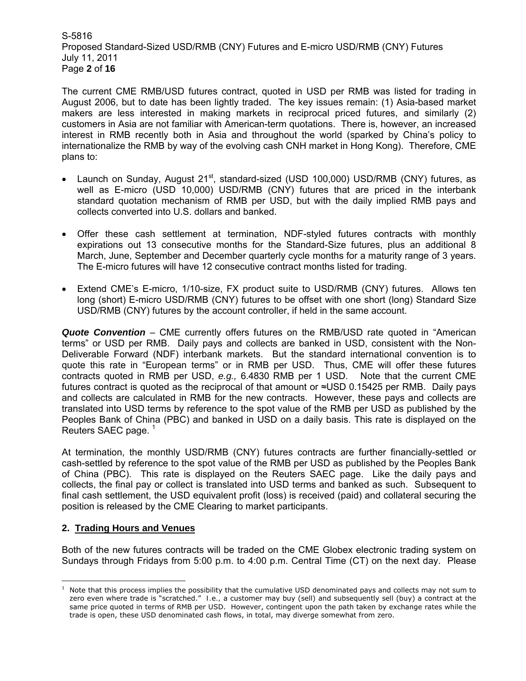S-5816 Proposed Standard-Sized USD/RMB (CNY) Futures and E-micro USD/RMB (CNY) Futures July 11, 2011 Page **2** of **16**

The current CME RMB/USD futures contract, quoted in USD per RMB was listed for trading in August 2006, but to date has been lightly traded. The key issues remain: (1) Asia-based market makers are less interested in making markets in reciprocal priced futures, and similarly (2) customers in Asia are not familiar with American-term quotations. There is, however, an increased interest in RMB recently both in Asia and throughout the world (sparked by China's policy to internationalize the RMB by way of the evolving cash CNH market in Hong Kong). Therefore, CME plans to:

- Launch on Sunday, August  $21^{st}$ , standard-sized (USD 100,000) USD/RMB (CNY) futures, as well as E-micro (USD 10,000) USD/RMB (CNY) futures that are priced in the interbank standard quotation mechanism of RMB per USD, but with the daily implied RMB pays and collects converted into U.S. dollars and banked.
- Offer these cash settlement at termination, NDF-styled futures contracts with monthly expirations out 13 consecutive months for the Standard-Size futures, plus an additional 8 March, June, September and December quarterly cycle months for a maturity range of 3 years. The E-micro futures will have 12 consecutive contract months listed for trading.
- Extend CME's E-micro, 1/10-size, FX product suite to USD/RMB (CNY) futures. Allows ten long (short) E-micro USD/RMB (CNY) futures to be offset with one short (long) Standard Size USD/RMB (CNY) futures by the account controller, if held in the same account.

*Quote Convention* – CME currently offers futures on the RMB/USD rate quoted in "American terms" or USD per RMB. Daily pays and collects are banked in USD, consistent with the Non-Deliverable Forward (NDF) interbank markets. But the standard international convention is to quote this rate in "European terms" or in RMB per USD. Thus, CME will offer these futures contracts quoted in RMB per USD, *e.g.,* 6.4830 RMB per 1 USD. Note that the current CME futures contract is quoted as the reciprocal of that amount or ≈USD 0.15425 per RMB. Daily pays and collects are calculated in RMB for the new contracts. However, these pays and collects are translated into USD terms by reference to the spot value of the RMB per USD as published by the Peoples Bank of China (PBC) and banked in USD on a daily basis. This rate is displayed on the Reuters SAEC page.<sup>1</sup>

At termination, the monthly USD/RMB (CNY) futures contracts are further financially-settled or cash-settled by reference to the spot value of the RMB per USD as published by the Peoples Bank of China (PBC). This rate is displayed on the Reuters SAEC page. Like the daily pays and collects, the final pay or collect is translated into USD terms and banked as such. Subsequent to final cash settlement, the USD equivalent profit (loss) is received (paid) and collateral securing the position is released by the CME Clearing to market participants.

### **2. Trading Hours and Venues**

Both of the new futures contracts will be traded on the CME Globex electronic trading system on Sundays through Fridays from 5:00 p.m. to 4:00 p.m. Central Time (CT) on the next day. Please

**<sup>1</sup>**<br>A Note that this process implies the possibility that the cumulative USD denominated pays and collects may not sum to zero even where trade is "scratched." *I.e.,* a customer may buy (sell) and subsequently sell (buy) a contract at the same price quoted in terms of RMB per USD. However, contingent upon the path taken by exchange rates while the trade is open, these USD denominated cash flows, in total, may diverge somewhat from zero.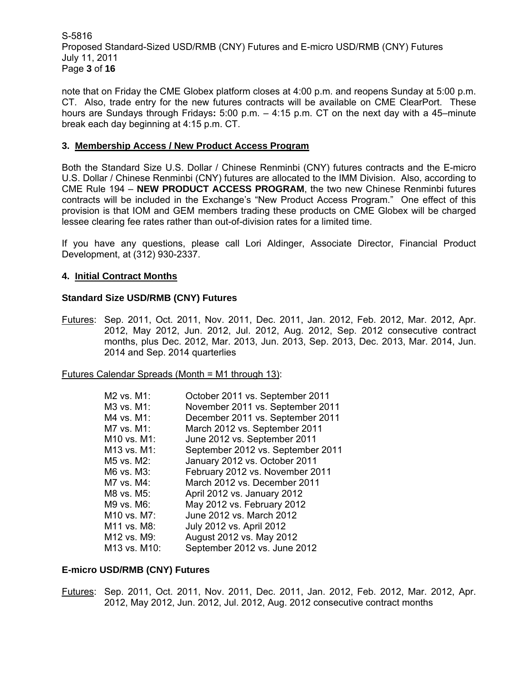S-5816 Proposed Standard-Sized USD/RMB (CNY) Futures and E-micro USD/RMB (CNY) Futures July 11, 2011 Page **3** of **16**

note that on Friday the CME Globex platform closes at 4:00 p.m. and reopens Sunday at 5:00 p.m. CT. Also, trade entry for the new futures contracts will be available on CME ClearPort. These hours are Sundays through Fridays**:** 5:00 p.m. – 4:15 p.m. CT on the next day with a 45–minute break each day beginning at 4:15 p.m. CT.

### **3. Membership Access / New Product Access Program**

Both the Standard Size U.S. Dollar / Chinese Renminbi (CNY) futures contracts and the E-micro U.S. Dollar / Chinese Renminbi (CNY) futures are allocated to the IMM Division. Also, according to CME Rule 194 – **NEW PRODUCT ACCESS PROGRAM**, the two new Chinese Renminbi futures contracts will be included in the Exchange's "New Product Access Program." One effect of this provision is that IOM and GEM members trading these products on CME Globex will be charged lessee clearing fee rates rather than out-of-division rates for a limited time.

If you have any questions, please call Lori Aldinger, Associate Director, Financial Product Development, at (312) 930-2337.

### **4. Initial Contract Months**

### **Standard Size USD/RMB (CNY) Futures**

Futures: Sep. 2011, Oct. 2011, Nov. 2011, Dec. 2011, Jan. 2012, Feb. 2012, Mar. 2012, Apr. 2012, May 2012, Jun. 2012, Jul. 2012, Aug. 2012, Sep. 2012 consecutive contract months, plus Dec. 2012, Mar. 2013, Jun. 2013, Sep. 2013, Dec. 2013, Mar. 2014, Jun. 2014 and Sep. 2014 quarterlies

Futures Calendar Spreads (Month = M1 through 13):

| M2 vs. M1:   | October 2011 vs. September 2011   |
|--------------|-----------------------------------|
| M3 vs. M1:   | November 2011 vs. September 2011  |
| M4 vs. M1:   | December 2011 vs. September 2011  |
| M7 vs. M1:   | March 2012 vs. September 2011     |
| M10 vs. M1:  | June 2012 vs. September 2011      |
| M13 vs. M1:  | September 2012 vs. September 2011 |
| M5 vs. M2:   | January 2012 vs. October 2011     |
| M6 vs. M3:   | February 2012 vs. November 2011   |
| M7 vs. M4:   | March 2012 vs. December 2011      |
| M8 vs. M5:   | April 2012 vs. January 2012       |
| M9 vs. M6:   | May 2012 vs. February 2012        |
| M10 vs. M7:  | June 2012 vs. March 2012          |
| M11 vs. M8:  | July 2012 vs. April 2012          |
| M12 vs. M9:  | August 2012 vs. May 2012          |
| M13 vs. M10: | September 2012 vs. June 2012      |

### **E-micro USD/RMB (CNY) Futures**

Futures: Sep. 2011, Oct. 2011, Nov. 2011, Dec. 2011, Jan. 2012, Feb. 2012, Mar. 2012, Apr. 2012, May 2012, Jun. 2012, Jul. 2012, Aug. 2012 consecutive contract months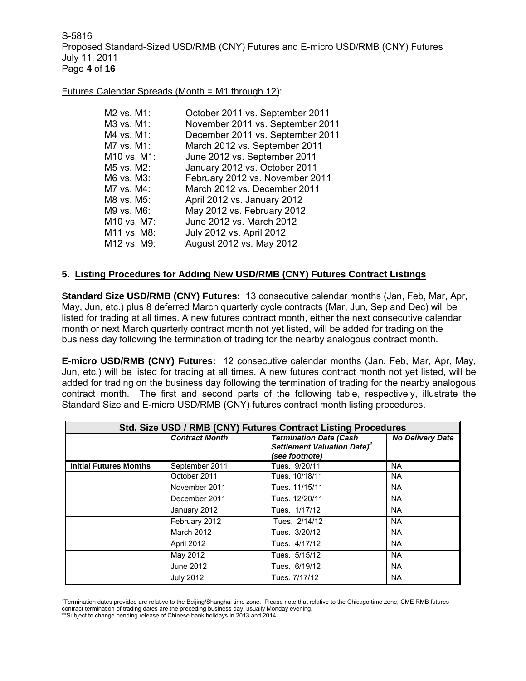S-5816 Proposed Standard-Sized USD/RMB (CNY) Futures and E-micro USD/RMB (CNY) Futures July 11, 2011 Page **4** of **16**

### Futures Calendar Spreads (Month = M1 through 12):

| October 2011 vs. September 2011  |
|----------------------------------|
| November 2011 vs. September 2011 |
| December 2011 vs. September 2011 |
| March 2012 vs. September 2011    |
| June 2012 vs. September 2011     |
| January 2012 vs. October 2011    |
| February 2012 vs. November 2011  |
| March 2012 vs. December 2011     |
| April 2012 vs. January 2012      |
| May 2012 vs. February 2012       |
| June 2012 vs. March 2012         |
| July 2012 vs. April 2012         |
| August 2012 vs. May 2012         |
|                                  |

### **5. Listing Procedures for Adding New USD/RMB (CNY) Futures Contract Listings**

**Standard Size USD/RMB (CNY) Futures:** 13 consecutive calendar months (Jan, Feb, Mar, Apr, May, Jun, etc.) plus 8 deferred March quarterly cycle contracts (Mar, Jun, Sep and Dec) will be listed for trading at all times. A new futures contract month, either the next consecutive calendar month or next March quarterly contract month not yet listed, will be added for trading on the business day following the termination of trading for the nearby analogous contract month.

**E-micro USD/RMB (CNY) Futures:** 12 consecutive calendar months (Jan, Feb, Mar, Apr, May, Jun, etc.) will be listed for trading at all times. A new futures contract month not yet listed, will be added for trading on the business day following the termination of trading for the nearby analogous contract month. The first and second parts of the following table, respectively, illustrate the Standard Size and E-micro USD/RMB (CNY) futures contract month listing procedures.

| Std. Size USD / RMB (CNY) Futures Contract Listing Procedures |                       |                                                                                            |                         |  |  |
|---------------------------------------------------------------|-----------------------|--------------------------------------------------------------------------------------------|-------------------------|--|--|
|                                                               | <b>Contract Month</b> | <b>Termination Date (Cash</b><br>Settlement Valuation Date) <sup>2</sup><br>(see footnote) | <b>No Delivery Date</b> |  |  |
| <b>Initial Futures Months</b>                                 | September 2011        | Tues. 9/20/11                                                                              | <b>NA</b>               |  |  |
|                                                               | October 2011          | Tues. 10/18/11                                                                             | <b>NA</b>               |  |  |
|                                                               | November 2011         | Tues. 11/15/11                                                                             | <b>NA</b>               |  |  |
|                                                               | December 2011         | Tues. 12/20/11                                                                             | <b>NA</b>               |  |  |
|                                                               | January 2012          | Tues. 1/17/12                                                                              | <b>NA</b>               |  |  |
|                                                               | February 2012         | Tues. 2/14/12                                                                              | <b>NA</b>               |  |  |
|                                                               | <b>March 2012</b>     | Tues. 3/20/12                                                                              | <b>NA</b>               |  |  |
|                                                               | April 2012            | Tues. 4/17/12                                                                              | <b>NA</b>               |  |  |
|                                                               | May 2012              | Tues. 5/15/12                                                                              | <b>NA</b>               |  |  |
|                                                               | June 2012             | Tues. 6/19/12                                                                              | <b>NA</b>               |  |  |
|                                                               | <b>July 2012</b>      | Tues. 7/17/12                                                                              | <b>NA</b>               |  |  |

 $\overline{a}$ 2 Termination dates provided are relative to the Beijing/Shanghai time zone. Please note that relative to the Chicago time zone, CME RMB futures contract termination of trading dates are the preceding business day, usually Monday evening.

<sup>\*\*</sup>Subject to change pending release of Chinese bank holidays in 2013 and 2014.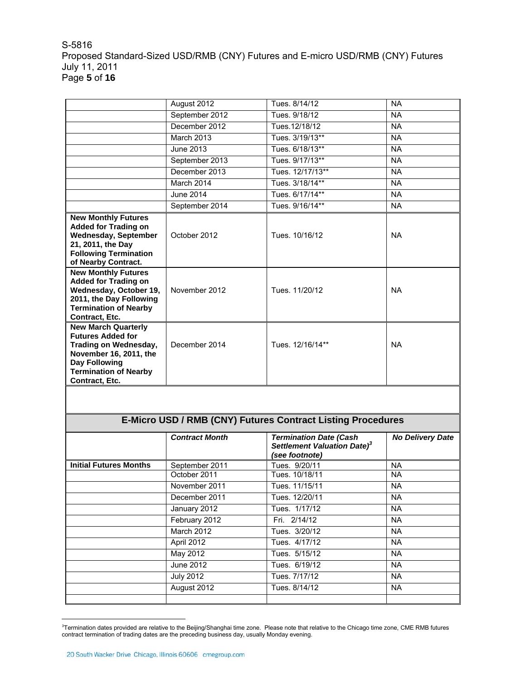### S-5816 Proposed Standard-Sized USD/RMB (CNY) Futures and E-micro USD/RMB (CNY) Futures July 11, 2011 Page **5** of **16**

|                                                                                                                                                                                     | August 2012       | Tues. 8/14/12    | <b>NA</b> |
|-------------------------------------------------------------------------------------------------------------------------------------------------------------------------------------|-------------------|------------------|-----------|
|                                                                                                                                                                                     | September 2012    | Tues. 9/18/12    | <b>NA</b> |
|                                                                                                                                                                                     | December 2012     | Tues. 12/18/12   | <b>NA</b> |
|                                                                                                                                                                                     | <b>March 2013</b> | Tues. 3/19/13**  | <b>NA</b> |
|                                                                                                                                                                                     | June 2013         | Tues. 6/18/13**  | <b>NA</b> |
|                                                                                                                                                                                     | September 2013    | Tues. 9/17/13**  | <b>NA</b> |
|                                                                                                                                                                                     | December 2013     | Tues. 12/17/13** | <b>NA</b> |
|                                                                                                                                                                                     | March 2014        | Tues. 3/18/14**  | <b>NA</b> |
|                                                                                                                                                                                     | June 2014         | Tues. 6/17/14**  | <b>NA</b> |
|                                                                                                                                                                                     | September 2014    | Tues. 9/16/14**  | NA.       |
| <b>New Monthly Futures</b><br><b>Added for Trading on</b><br><b>Wednesday, September</b><br>21, 2011, the Day<br><b>Following Termination</b><br>of Nearby Contract.                | October 2012      | Tues. 10/16/12   | <b>NA</b> |
| <b>New Monthly Futures</b><br><b>Added for Trading on</b><br>Wednesday, October 19,<br>2011, the Day Following<br><b>Termination of Nearby</b><br>Contract, Etc.                    | November 2012     | Tues. 11/20/12   | <b>NA</b> |
| <b>New March Quarterly</b><br><b>Futures Added for</b><br>Trading on Wednesday,<br>November 16, 2011, the<br><b>Day Following</b><br><b>Termination of Nearby</b><br>Contract, Etc. | December 2014     | Tues. 12/16/14** | <b>NA</b> |
|                                                                                                                                                                                     |                   |                  |           |

# **E-Micro USD / RMB (CNY) Futures Contract Listing Procedures**

|                               | <b>Contract Month</b> | <b>Termination Date (Cash</b><br>Settlement Valuation Date) <sup>3</sup><br>(see footnote) | <b>No Delivery Date</b> |
|-------------------------------|-----------------------|--------------------------------------------------------------------------------------------|-------------------------|
| <b>Initial Futures Months</b> | September 2011        | Tues. 9/20/11                                                                              | <b>NA</b>               |
|                               | October 2011          | Tues. 10/18/11                                                                             | <b>NA</b>               |
|                               | November 2011         | Tues. 11/15/11                                                                             | <b>NA</b>               |
|                               | December 2011         | Tues. 12/20/11                                                                             | <b>NA</b>               |
|                               | January 2012          | Tues. 1/17/12                                                                              | <b>NA</b>               |
|                               | February 2012         | Fri. 2/14/12                                                                               | <b>NA</b>               |
|                               | March 2012            | Tues. 3/20/12                                                                              | <b>NA</b>               |
|                               | April 2012            | Tues. 4/17/12                                                                              | <b>NA</b>               |
|                               | May 2012              | Tues. 5/15/12                                                                              | <b>NA</b>               |
|                               | June 2012             | Tues. 6/19/12                                                                              | <b>NA</b>               |
|                               | <b>July 2012</b>      | Tues. 7/17/12                                                                              | <b>NA</b>               |
|                               | August 2012           | Tues. 8/14/12                                                                              | <b>NA</b>               |
|                               |                       |                                                                                            |                         |

<sup>&</sup>lt;sup>3</sup>Termination dates provided are relative to the Beijing/Shanghai time zone. Please note that relative to the Chicago time zone, CME RMB futures contract termination of trading dates are the preceding business day, usually Monday evening.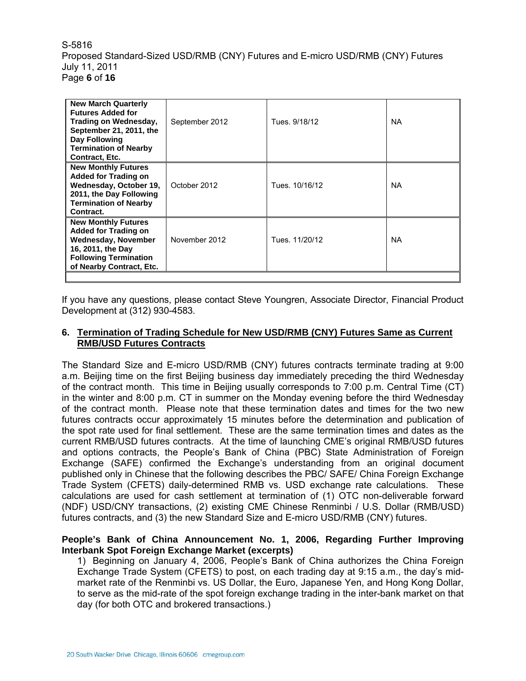S-5816 Proposed Standard-Sized USD/RMB (CNY) Futures and E-micro USD/RMB (CNY) Futures July 11, 2011 Page **6** of **16**

| <b>New March Quarterly</b><br><b>Futures Added for</b><br>Trading on Wednesday,<br>September 21, 2011, the<br><b>Day Following</b><br><b>Termination of Nearby</b><br>Contract, Etc. | September 2012 | Tues. 9/18/12  | <b>NA</b> |
|--------------------------------------------------------------------------------------------------------------------------------------------------------------------------------------|----------------|----------------|-----------|
| <b>New Monthly Futures</b><br><b>Added for Trading on</b><br>Wednesday, October 19,<br>2011, the Day Following<br><b>Termination of Nearby</b><br>Contract.                          | October 2012   | Tues. 10/16/12 | NA.       |
| <b>New Monthly Futures</b><br><b>Added for Trading on</b><br><b>Wednesday, November</b><br>16, 2011, the Day<br><b>Following Termination</b><br>of Nearby Contract, Etc.             | November 2012  | Tues. 11/20/12 | <b>NA</b> |

If you have any questions, please contact Steve Youngren, Associate Director, Financial Product Development at (312) 930-4583.

### **6. Termination of Trading Schedule for New USD/RMB (CNY) Futures Same as Current RMB/USD Futures Contracts**

The Standard Size and E-micro USD/RMB (CNY) futures contracts terminate trading at 9:00 a.m. Beijing time on the first Beijing business day immediately preceding the third Wednesday of the contract month. This time in Beijing usually corresponds to 7:00 p.m. Central Time (CT) in the winter and 8:00 p.m. CT in summer on the Monday evening before the third Wednesday of the contract month. Please note that these termination dates and times for the two new futures contracts occur approximately 15 minutes before the determination and publication of the spot rate used for final settlement. These are the same termination times and dates as the current RMB/USD futures contracts. At the time of launching CME's original RMB/USD futures and options contracts, the People's Bank of China (PBC) State Administration of Foreign Exchange (SAFE) confirmed the Exchange's understanding from an original document published only in Chinese that the following describes the PBC/ SAFE/ China Foreign Exchange Trade System (CFETS) daily-determined RMB vs. USD exchange rate calculations. These calculations are used for cash settlement at termination of (1) OTC non-deliverable forward (NDF) USD/CNY transactions, (2) existing CME Chinese Renminbi / U.S. Dollar (RMB/USD) futures contracts, and (3) the new Standard Size and E-micro USD/RMB (CNY) futures.

### **People's Bank of China Announcement No. 1, 2006, Regarding Further Improving Interbank Spot Foreign Exchange Market (excerpts)**

1) Beginning on January 4, 2006, People's Bank of China authorizes the China Foreign Exchange Trade System (CFETS) to post, on each trading day at 9:15 a.m., the day's midmarket rate of the Renminbi vs. US Dollar, the Euro, Japanese Yen, and Hong Kong Dollar, to serve as the mid-rate of the spot foreign exchange trading in the inter-bank market on that day (for both OTC and brokered transactions.)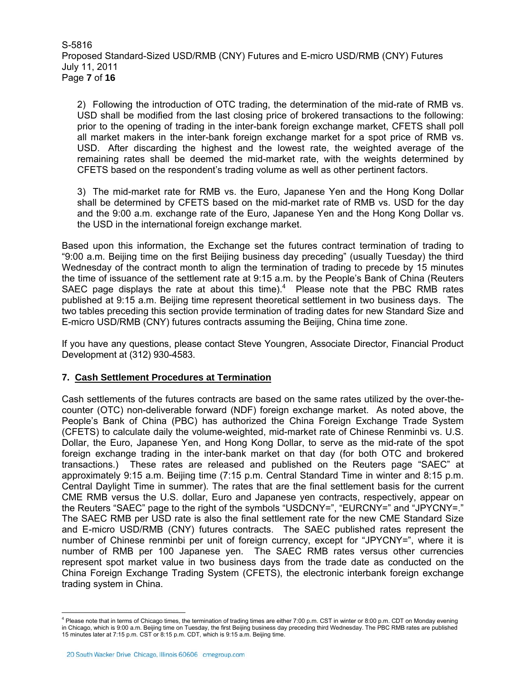S-5816 Proposed Standard-Sized USD/RMB (CNY) Futures and E-micro USD/RMB (CNY) Futures July 11, 2011 Page **7** of **16**

2) Following the introduction of OTC trading, the determination of the mid-rate of RMB vs. USD shall be modified from the last closing price of brokered transactions to the following: prior to the opening of trading in the inter-bank foreign exchange market, CFETS shall poll all market makers in the inter-bank foreign exchange market for a spot price of RMB vs. USD. After discarding the highest and the lowest rate, the weighted average of the remaining rates shall be deemed the mid-market rate, with the weights determined by CFETS based on the respondent's trading volume as well as other pertinent factors.

3) The mid-market rate for RMB vs. the Euro, Japanese Yen and the Hong Kong Dollar shall be determined by CFETS based on the mid-market rate of RMB vs. USD for the day and the 9:00 a.m. exchange rate of the Euro, Japanese Yen and the Hong Kong Dollar vs. the USD in the international foreign exchange market.

Based upon this information, the Exchange set the futures contract termination of trading to "9:00 a.m. Beijing time on the first Beijing business day preceding" (usually Tuesday) the third Wednesday of the contract month to align the termination of trading to precede by 15 minutes the time of issuance of the settlement rate at 9:15 a.m. by the People's Bank of China (Reuters SAEC page displays the rate at about this time). $4$  Please note that the PBC RMB rates published at 9:15 a.m. Beijing time represent theoretical settlement in two business days. The two tables preceding this section provide termination of trading dates for new Standard Size and E-micro USD/RMB (CNY) futures contracts assuming the Beijing, China time zone.

If you have any questions, please contact Steve Youngren, Associate Director, Financial Product Development at (312) 930-4583.

### **7. Cash Settlement Procedures at Termination**

Cash settlements of the futures contracts are based on the same rates utilized by the over-thecounter (OTC) non-deliverable forward (NDF) foreign exchange market. As noted above, the People's Bank of China (PBC) has authorized the China Foreign Exchange Trade System (CFETS) to calculate daily the volume-weighted, mid-market rate of Chinese Renminbi vs. U.S. Dollar, the Euro, Japanese Yen, and Hong Kong Dollar, to serve as the mid-rate of the spot foreign exchange trading in the inter-bank market on that day (for both OTC and brokered transactions.) These rates are released and published on the Reuters page "SAEC" at approximately 9:15 a.m. Beijing time (7:15 p.m. Central Standard Time in winter and 8:15 p.m. Central Daylight Time in summer). The rates that are the final settlement basis for the current CME RMB versus the U.S. dollar, Euro and Japanese yen contracts, respectively, appear on the Reuters "SAEC" page to the right of the symbols "USDCNY=", "EURCNY=" and "JPYCNY=." The SAEC RMB per USD rate is also the final settlement rate for the new CME Standard Size and E-micro USD/RMB (CNY) futures contracts. The SAEC published rates represent the number of Chinese renminbi per unit of foreign currency, except for "JPYCNY=", where it is number of RMB per 100 Japanese yen. The SAEC RMB rates versus other currencies represent spot market value in two business days from the trade date as conducted on the China Foreign Exchange Trading System (CFETS), the electronic interbank foreign exchange trading system in China.

 4 Please note that in terms of Chicago times, the termination of trading times are either 7:00 p.m. CST in winter or 8:00 p.m. CDT on Monday evening in Chicago, which is 9:00 a.m. Beijing time on Tuesday, the first Beijing business day preceding third Wednesday. The PBC RMB rates are published 15 minutes later at 7:15 p.m. CST or 8:15 p.m. CDT, which is 9:15 a.m. Beijing time.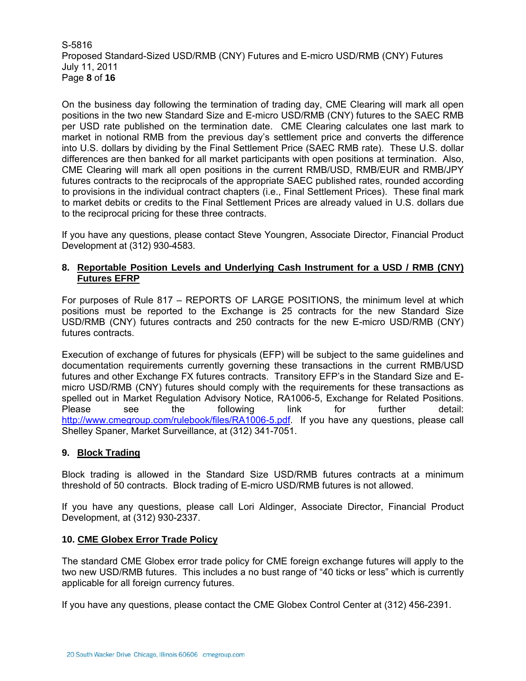S-5816 Proposed Standard-Sized USD/RMB (CNY) Futures and E-micro USD/RMB (CNY) Futures July 11, 2011 Page **8** of **16**

On the business day following the termination of trading day, CME Clearing will mark all open positions in the two new Standard Size and E-micro USD/RMB (CNY) futures to the SAEC RMB per USD rate published on the termination date. CME Clearing calculates one last mark to market in notional RMB from the previous day's settlement price and converts the difference into U.S. dollars by dividing by the Final Settlement Price (SAEC RMB rate). These U.S. dollar differences are then banked for all market participants with open positions at termination. Also, CME Clearing will mark all open positions in the current RMB/USD, RMB/EUR and RMB/JPY futures contracts to the reciprocals of the appropriate SAEC published rates, rounded according to provisions in the individual contract chapters (i.e., Final Settlement Prices). These final mark to market debits or credits to the Final Settlement Prices are already valued in U.S. dollars due to the reciprocal pricing for these three contracts.

If you have any questions, please contact Steve Youngren, Associate Director, Financial Product Development at (312) 930-4583.

### **8. Reportable Position Levels and Underlying Cash Instrument for a USD / RMB (CNY) Futures EFRP**

For purposes of Rule 817 – REPORTS OF LARGE POSITIONS, the minimum level at which positions must be reported to the Exchange is 25 contracts for the new Standard Size USD/RMB (CNY) futures contracts and 250 contracts for the new E-micro USD/RMB (CNY) futures contracts.

Execution of exchange of futures for physicals (EFP) will be subject to the same guidelines and documentation requirements currently governing these transactions in the current RMB/USD futures and other Exchange FX futures contracts. Transitory EFP's in the Standard Size and Emicro USD/RMB (CNY) futures should comply with the requirements for these transactions as spelled out in Market Regulation Advisory Notice, RA1006-5, Exchange for Related Positions. Please see the following link for further detail: http://www.cmegroup.com/rulebook/files/RA1006-5.pdf. If you have any questions, please call Shelley Spaner, Market Surveillance, at (312) 341-7051.

### **9. Block Trading**

Block trading is allowed in the Standard Size USD/RMB futures contracts at a minimum threshold of 50 contracts. Block trading of E-micro USD/RMB futures is not allowed.

If you have any questions, please call Lori Aldinger, Associate Director, Financial Product Development, at (312) 930-2337.

### **10. CME Globex Error Trade Policy**

The standard CME Globex error trade policy for CME foreign exchange futures will apply to the two new USD/RMB futures. This includes a no bust range of "40 ticks or less" which is currently applicable for all foreign currency futures.

If you have any questions, please contact the CME Globex Control Center at (312) 456-2391.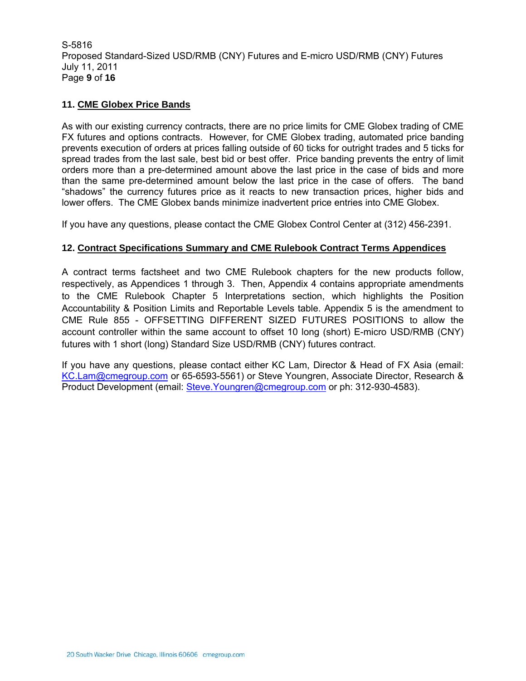S-5816 Proposed Standard-Sized USD/RMB (CNY) Futures and E-micro USD/RMB (CNY) Futures July 11, 2011 Page **9** of **16**

### **11. CME Globex Price Bands**

As with our existing currency contracts, there are no price limits for CME Globex trading of CME FX futures and options contracts. However, for CME Globex trading, automated price banding prevents execution of orders at prices falling outside of 60 ticks for outright trades and 5 ticks for spread trades from the last sale, best bid or best offer. Price banding prevents the entry of limit orders more than a pre-determined amount above the last price in the case of bids and more than the same pre-determined amount below the last price in the case of offers. The band "shadows" the currency futures price as it reacts to new transaction prices, higher bids and lower offers. The CME Globex bands minimize inadvertent price entries into CME Globex.

If you have any questions, please contact the CME Globex Control Center at (312) 456-2391.

### **12. Contract Specifications Summary and CME Rulebook Contract Terms Appendices**

A contract terms factsheet and two CME Rulebook chapters for the new products follow, respectively, as Appendices 1 through 3. Then, Appendix 4 contains appropriate amendments to the CME Rulebook Chapter 5 Interpretations section, which highlights the Position Accountability & Position Limits and Reportable Levels table. Appendix 5 is the amendment to CME Rule 855 - OFFSETTING DIFFERENT SIZED FUTURES POSITIONS to allow the account controller within the same account to offset 10 long (short) E-micro USD/RMB (CNY) futures with 1 short (long) Standard Size USD/RMB (CNY) futures contract.

If you have any questions, please contact either KC Lam, Director & Head of FX Asia (email: KC.Lam@cmegroup.com or 65-6593-5561) or Steve Youngren, Associate Director, Research & Product Development (email: Steve.Youngren@cmegroup.com or ph: 312-930-4583).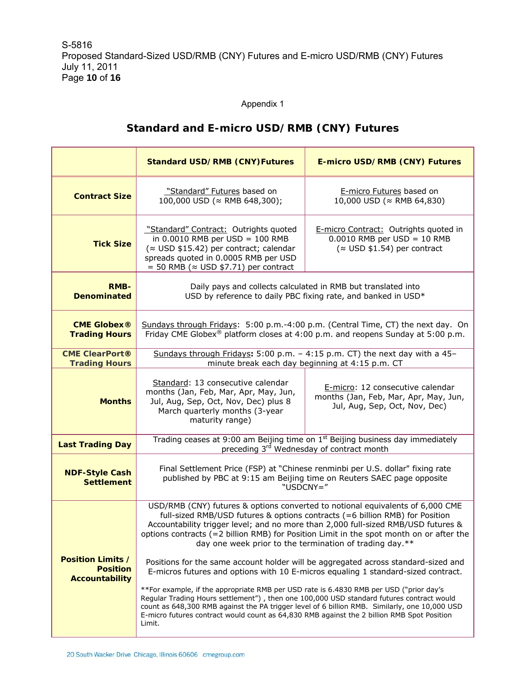### Appendix 1

## **Standard and E-micro USD/RMB (CNY) Futures**

|                                                                      | <b>Standard USD/RMB (CNY)Futures</b>                                                                                                                                                                                                                                                                                                                                                                                                                                                                                                                                                                                                                                                                                                                                                                                                                                                                                                                                                | E-micro USD/RMB (CNY) Futures                                                                                                                       |  |  |  |
|----------------------------------------------------------------------|-------------------------------------------------------------------------------------------------------------------------------------------------------------------------------------------------------------------------------------------------------------------------------------------------------------------------------------------------------------------------------------------------------------------------------------------------------------------------------------------------------------------------------------------------------------------------------------------------------------------------------------------------------------------------------------------------------------------------------------------------------------------------------------------------------------------------------------------------------------------------------------------------------------------------------------------------------------------------------------|-----------------------------------------------------------------------------------------------------------------------------------------------------|--|--|--|
| <b>Contract Size</b>                                                 | "Standard" Futures based on<br>100,000 USD (≈ RMB 648,300);                                                                                                                                                                                                                                                                                                                                                                                                                                                                                                                                                                                                                                                                                                                                                                                                                                                                                                                         | E-micro Futures based on<br>10,000 USD (≈ RMB 64,830)                                                                                               |  |  |  |
| <b>Tick Size</b>                                                     | "Standard" Contract: Outrights quoted<br>in $0.0010$ RMB per USD = 100 RMB<br>( $\approx$ USD \$15.42) per contract; calendar<br>spreads quoted in 0.0005 RMB per USD<br>$=$ 50 RMB ( $\approx$ USD \$7.71) per contract                                                                                                                                                                                                                                                                                                                                                                                                                                                                                                                                                                                                                                                                                                                                                            | E-micro Contract: Outrights quoted in<br>$0.0010$ RMB per USD = 10 RMB<br>$(\approx$ USD \$1.54) per contract                                       |  |  |  |
| <b>RMB-</b><br><b>Denominated</b>                                    | Daily pays and collects calculated in RMB but translated into<br>USD by reference to daily PBC fixing rate, and banked in USD*                                                                                                                                                                                                                                                                                                                                                                                                                                                                                                                                                                                                                                                                                                                                                                                                                                                      |                                                                                                                                                     |  |  |  |
| <b>CME Globex®</b><br><b>Trading Hours</b>                           | Sundays through Fridays: 5:00 p.m.-4:00 p.m. (Central Time, CT) the next day. On<br>Friday CME Globex <sup>®</sup> platform closes at 4:00 p.m. and reopens Sunday at 5:00 p.m.                                                                                                                                                                                                                                                                                                                                                                                                                                                                                                                                                                                                                                                                                                                                                                                                     |                                                                                                                                                     |  |  |  |
| <b>CME ClearPort®</b><br><b>Trading Hours</b>                        |                                                                                                                                                                                                                                                                                                                                                                                                                                                                                                                                                                                                                                                                                                                                                                                                                                                                                                                                                                                     | Sundays through Fridays: 5:00 p.m. - 4:15 p.m. CT) the next day with a 45-<br>minute break each day beginning at 4:15 p.m. CT                       |  |  |  |
| <b>Months</b>                                                        | Standard: 13 consecutive calendar<br>months (Jan, Feb, Mar, Apr, May, Jun,<br>Jul, Aug, Sep, Oct, Nov, Dec) plus 8<br>March quarterly months (3-year<br>maturity range)                                                                                                                                                                                                                                                                                                                                                                                                                                                                                                                                                                                                                                                                                                                                                                                                             | E-micro: 12 consecutive calendar<br>months (Jan, Feb, Mar, Apr, May, Jun,<br>Jul, Aug, Sep, Oct, Nov, Dec)                                          |  |  |  |
| <b>Last Trading Day</b>                                              |                                                                                                                                                                                                                                                                                                                                                                                                                                                                                                                                                                                                                                                                                                                                                                                                                                                                                                                                                                                     | Trading ceases at 9:00 am Beijing time on 1 <sup>st</sup> Beijing business day immediately<br>preceding 3 <sup>rd</sup> Wednesday of contract month |  |  |  |
| <b>NDF-Style Cash</b><br><b>Settlement</b>                           | Final Settlement Price (FSP) at "Chinese renminbi per U.S. dollar" fixing rate<br>published by PBC at 9:15 am Beijing time on Reuters SAEC page opposite<br>"USDCNY="                                                                                                                                                                                                                                                                                                                                                                                                                                                                                                                                                                                                                                                                                                                                                                                                               |                                                                                                                                                     |  |  |  |
| <b>Position Limits /</b><br><b>Position</b><br><b>Accountability</b> | USD/RMB (CNY) futures & options converted to notional equivalents of 6,000 CME<br>full-sized RMB/USD futures & options contracts (=6 billion RMB) for Position<br>Accountability trigger level; and no more than 2,000 full-sized RMB/USD futures &<br>options contracts (=2 billion RMB) for Position Limit in the spot month on or after the<br>day one week prior to the termination of trading day.**<br>Positions for the same account holder will be aggregated across standard-sized and<br>E-micros futures and options with 10 E-micros equaling 1 standard-sized contract.<br>**For example, if the appropriate RMB per USD rate is 6.4830 RMB per USD ("prior day's<br>Regular Trading Hours settlement"), then one 100,000 USD standard futures contract would<br>count as 648,300 RMB against the PA trigger level of 6 billion RMB. Similarly, one 10,000 USD<br>E-micro futures contract would count as 64,830 RMB against the 2 billion RMB Spot Position<br>Limit. |                                                                                                                                                     |  |  |  |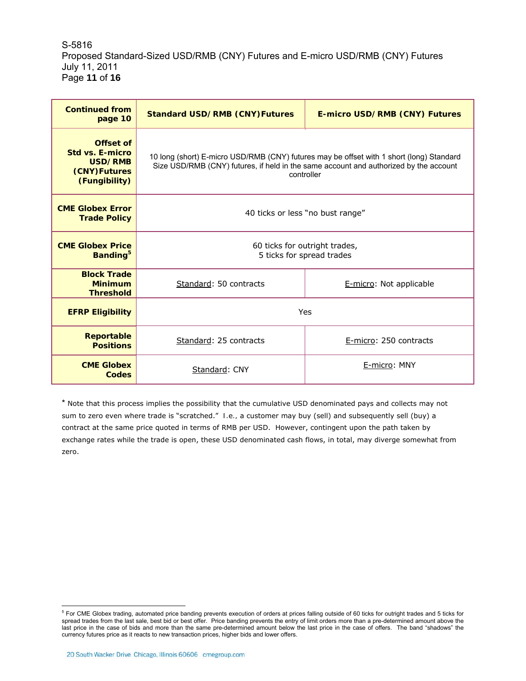S-5816 Proposed Standard-Sized USD/RMB (CNY) Futures and E-micro USD/RMB (CNY) Futures July 11, 2011 Page **11** of **16**

| <b>Continued from</b><br>page 10                                         | <b>Standard USD/RMB (CNY)Futures</b>                                                                                                                                                            | <b>E-micro USD/RMB (CNY) Futures</b> |  |  |  |
|--------------------------------------------------------------------------|-------------------------------------------------------------------------------------------------------------------------------------------------------------------------------------------------|--------------------------------------|--|--|--|
| Offset of<br>Std vs. E-micro<br>USD/RMB<br>(CNY)Futures<br>(Fungibility) | 10 long (short) E-micro USD/RMB (CNY) futures may be offset with 1 short (long) Standard<br>Size USD/RMB (CNY) futures, if held in the same account and authorized by the account<br>controller |                                      |  |  |  |
| <b>CME Globex Error</b><br><b>Trade Policy</b>                           | 40 ticks or less "no bust range"                                                                                                                                                                |                                      |  |  |  |
| <b>CME Globex Price</b><br>Banding <sup>5</sup>                          | 60 ticks for outright trades,<br>5 ticks for spread trades                                                                                                                                      |                                      |  |  |  |
| <b>Block Trade</b><br><b>Minimum</b><br><b>Threshold</b>                 | Standard: 50 contracts                                                                                                                                                                          | E-micro: Not applicable              |  |  |  |
| <b>EFRP Eligibility</b>                                                  | Yes                                                                                                                                                                                             |                                      |  |  |  |
| <b>Reportable</b><br><b>Positions</b>                                    | Standard: 25 contracts                                                                                                                                                                          | E-micro: 250 contracts               |  |  |  |
| <b>CME Globex</b><br>Codes                                               | Standard: CNY                                                                                                                                                                                   | E-micro: MNY                         |  |  |  |

\* Note that this process implies the possibility that the cumulative USD denominated pays and collects may not sum to zero even where trade is "scratched." *I.e.,* a customer may buy (sell) and subsequently sell (buy) a contract at the same price quoted in terms of RMB per USD. However, contingent upon the path taken by exchange rates while the trade is open, these USD denominated cash flows, in total, may diverge somewhat from zero.

 5 For CME Globex trading, automated price banding prevents execution of orders at prices falling outside of 60 ticks for outright trades and 5 ticks for spread trades from the last sale, best bid or best offer. Price banding prevents the entry of limit orders more than a pre-determined amount above the last price in the case of bids and more than the same pre-determined amount below the last price in the case of offers. The band "shadows" the currency futures price as it reacts to new transaction prices, higher bids and lower offers.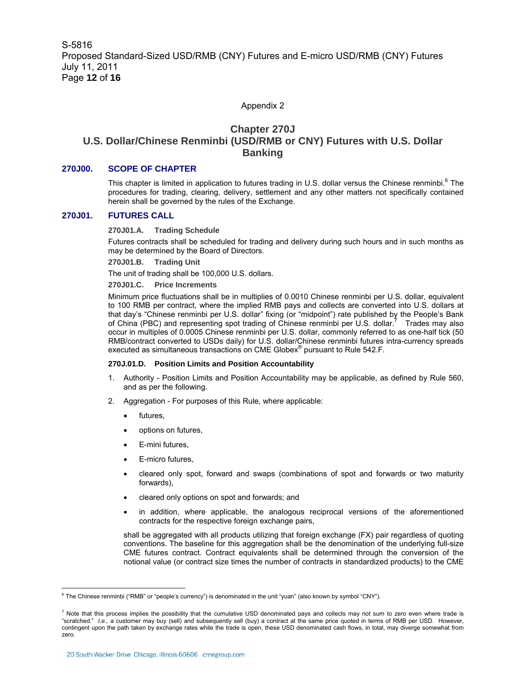#### Appendix 2

### **Chapter 270J U.S. Dollar/Chinese Renminbi (USD/RMB or CNY) Futures with U.S. Dollar Banking**

#### **270J00. SCOPE OF CHAPTER**

This chapter is limited in application to futures trading in U.S. dollar versus the Chinese renminbi.<sup>6</sup> The procedures for trading, clearing, delivery, settlement and any other matters not specifically contained herein shall be governed by the rules of the Exchange.

#### **270J01. FUTURES CALL**

**270J01.A. Trading Schedule** 

Futures contracts shall be scheduled for trading and delivery during such hours and in such months as may be determined by the Board of Directors.

**270J01.B. Trading Unit** 

The unit of trading shall be 100,000 U.S. dollars.

#### **270J01.C. Price Increments**

Minimum price fluctuations shall be in multiplies of 0.0010 Chinese renminbi per U.S. dollar, equivalent to 100 RMB per contract, where the implied RMB pays and collects are converted into U.S. dollars at that day's "Chinese renminbi per U.S. dollar" fixing (or "midpoint") rate published by the People's Bank of China (PBC) and representing spot trading of Chinese renminbi per U.S. dollar.<sup>7</sup> Trades may also occur in multiples of 0.0005 Chinese renminbi per U.S. dollar, commonly referred to as one-half tick (50 RMB/contract converted to USDs daily) for U.S. dollar/Chinese renminbi futures intra-currency spreads executed as simultaneous transactions on CME Globex<sup>®</sup> pursuant to Rule 542.F.

#### **270J.01.D. Position Limits and Position Accountability**

- 1. Authority Position Limits and Position Accountability may be applicable, as defined by Rule 560, and as per the following.
- 2. Aggregation For purposes of this Rule, where applicable:
	- futures,
	- options on futures,
	- E-mini futures,
	- E-micro futures.
	- cleared only spot, forward and swaps (combinations of spot and forwards or two maturity forwards),
	- cleared only options on spot and forwards; and
	- in addition, where applicable, the analogous reciprocal versions of the aforementioned contracts for the respective foreign exchange pairs,

shall be aggregated with all products utilizing that foreign exchange (FX) pair regardless of quoting conventions. The baseline for this aggregation shall be the denomination of the underlying full-size CME futures contract. Contract equivalents shall be determined through the conversion of the notional value (or contract size times the number of contracts in standardized products) to the CME

 6 The Chinese renminbi ("RMB" or "people's currency") is denominated in the unit "yuan" (also known by symbol "CNY").

 $^7$  Note that this process implies the possibility that the cumulative USD denominated pays and collects may not sum to zero even where trade is "scratched." *I.e.,* a customer may buy (sell) and subsequently sell (buy) a contract at the same price quoted in terms of RMB per USD. However, contingent upon the path taken by exchange rates while the trade is open, these USD denominated cash flows, in total, may diverge somewhat from zero.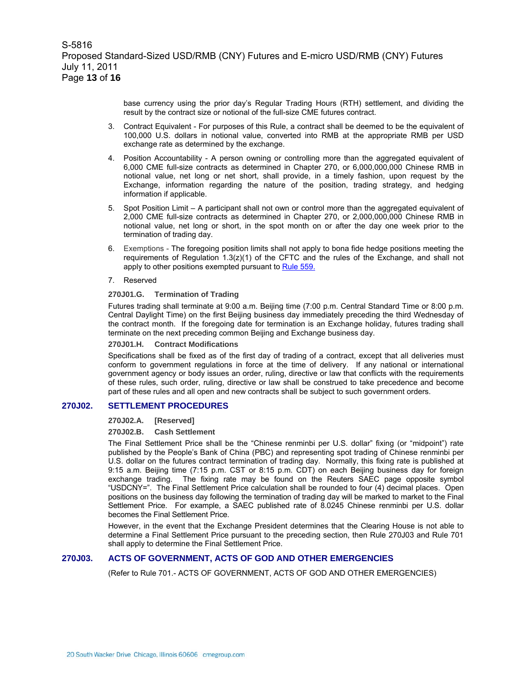base currency using the prior day's Regular Trading Hours (RTH) settlement, and dividing the result by the contract size or notional of the full-size CME futures contract.

- 3. Contract Equivalent For purposes of this Rule, a contract shall be deemed to be the equivalent of 100,000 U.S. dollars in notional value, converted into RMB at the appropriate RMB per USD exchange rate as determined by the exchange.
- 4. Position Accountability A person owning or controlling more than the aggregated equivalent of 6,000 CME full-size contracts as determined in Chapter 270, or 6,000,000,000 Chinese RMB in notional value, net long or net short, shall provide, in a timely fashion, upon request by the Exchange, information regarding the nature of the position, trading strategy, and hedging information if applicable.
- 5. Spot Position Limit A participant shall not own or control more than the aggregated equivalent of 2,000 CME full-size contracts as determined in Chapter 270, or 2,000,000,000 Chinese RMB in notional value, net long or short, in the spot month on or after the day one week prior to the termination of trading day.
- 6. Exemptions The foregoing position limits shall not apply to bona fide hedge positions meeting the requirements of Regulation  $1.3(z)(1)$  of the CFTC and the rules of the Exchange, and shall not apply to other positions exempted pursuant to Rule 559.
- 7. Reserved

#### **270J01.G. Termination of Trading**

Futures trading shall terminate at 9:00 a.m. Beijing time (7:00 p.m. Central Standard Time or 8:00 p.m. Central Daylight Time) on the first Beijing business day immediately preceding the third Wednesday of the contract month. If the foregoing date for termination is an Exchange holiday, futures trading shall terminate on the next preceding common Beijing and Exchange business day.

#### **270J01.H. Contract Modifications**

Specifications shall be fixed as of the first day of trading of a contract, except that all deliveries must conform to government regulations in force at the time of delivery. If any national or international government agency or body issues an order, ruling, directive or law that conflicts with the requirements of these rules, such order, ruling, directive or law shall be construed to take precedence and become part of these rules and all open and new contracts shall be subject to such government orders.

#### **270J02. SETTLEMENT PROCEDURES**

#### **270J02.A. [Reserved]**

#### **270J02.B. Cash Settlement**

The Final Settlement Price shall be the "Chinese renminbi per U.S. dollar" fixing (or "midpoint") rate published by the People's Bank of China (PBC) and representing spot trading of Chinese renminbi per U.S. dollar on the futures contract termination of trading day. Normally, this fixing rate is published at 9:15 a.m. Beijing time (7:15 p.m. CST or 8:15 p.m. CDT) on each Beijing business day for foreign exchange trading. The fixing rate may be found on the Reuters SAEC page opposite symbol "USDCNY=". The Final Settlement Price calculation shall be rounded to four (4) decimal places. Open positions on the business day following the termination of trading day will be marked to market to the Final Settlement Price. For example, a SAEC published rate of 8.0245 Chinese renminbi per U.S. dollar becomes the Final Settlement Price.

However, in the event that the Exchange President determines that the Clearing House is not able to determine a Final Settlement Price pursuant to the preceding section, then Rule 270J03 and Rule 701 shall apply to determine the Final Settlement Price.

### **270J03. ACTS OF GOVERNMENT, ACTS OF GOD AND OTHER EMERGENCIES**

(Refer to Rule 701.- ACTS OF GOVERNMENT, ACTS OF GOD AND OTHER EMERGENCIES)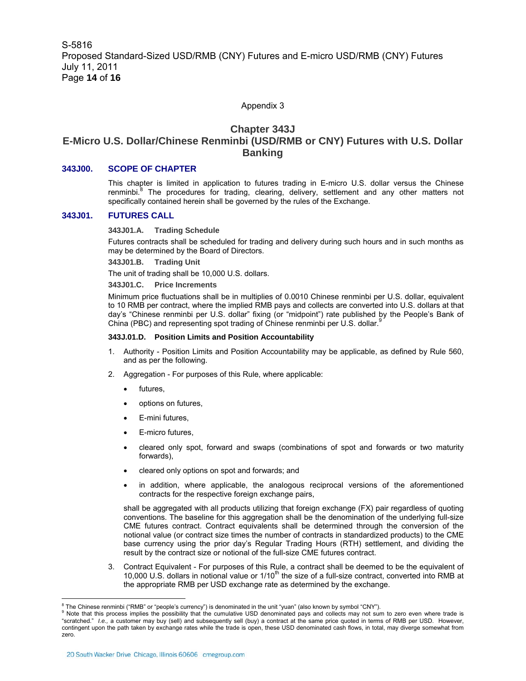#### Appendix 3

### **Chapter 343J E-Micro U.S. Dollar/Chinese Renminbi (USD/RMB or CNY) Futures with U.S. Dollar Banking**

#### **343J00. SCOPE OF CHAPTER**

This chapter is limited in application to futures trading in E-micro U.S. dollar versus the Chinese renminbi.<sup>8</sup> The procedures for trading, clearing, delivery, settlement and any other matters not specifically contained herein shall be governed by the rules of the Exchange.

#### **343J01. FUTURES CALL**

**343J01.A. Trading Schedule** 

Futures contracts shall be scheduled for trading and delivery during such hours and in such months as may be determined by the Board of Directors.

**343J01.B. Trading Unit** 

The unit of trading shall be 10,000 U.S. dollars.

**343J01.C. Price Increments** 

Minimum price fluctuations shall be in multiplies of 0.0010 Chinese renminbi per U.S. dollar, equivalent to 10 RMB per contract, where the implied RMB pays and collects are converted into U.S. dollars at that day's "Chinese renminbi per U.S. dollar" fixing (or "midpoint") rate published by the People's Bank of China (PBC) and representing spot trading of Chinese renminbi per U.S. dollar.<sup>8</sup>

#### **343J.01.D. Position Limits and Position Accountability**

- 1. Authority Position Limits and Position Accountability may be applicable, as defined by Rule 560, and as per the following.
- 2. Aggregation For purposes of this Rule, where applicable:
	- futures,
	- options on futures,
	- E-mini futures.
	- E-micro futures,
	- cleared only spot, forward and swaps (combinations of spot and forwards or two maturity forwards),
	- cleared only options on spot and forwards; and
	- in addition, where applicable, the analogous reciprocal versions of the aforementioned contracts for the respective foreign exchange pairs,

shall be aggregated with all products utilizing that foreign exchange (FX) pair regardless of quoting conventions. The baseline for this aggregation shall be the denomination of the underlying full-size CME futures contract. Contract equivalents shall be determined through the conversion of the notional value (or contract size times the number of contracts in standardized products) to the CME base currency using the prior day's Regular Trading Hours (RTH) settlement, and dividing the result by the contract size or notional of the full-size CME futures contract.

3. Contract Equivalent - For purposes of this Rule, a contract shall be deemed to be the equivalent of 10,000 U.S. dollars in notional value or 1/10<sup>th</sup> the size of a full-size contract, converted into RMB at the appropriate RMB per USD exchange rate as determined by the exchange.

 $\overline{a}$ 

 $^8$  The Chinese renminbi ("RMB" or "people's currency") is denominated in the unit "yuan" (also known by symbol "CNY").<br>9 Note that this arcases implies the associative that the sumulative USD dependented agus and collec

<sup>&</sup>lt;sup>9</sup> Note that this process implies the possibility that the cumulative USD denominated pays and collects may not sum to zero even where trade is "scratched." *I.e.,* a customer may buy (sell) and subsequently sell (buy) a contract at the same price quoted in terms of RMB per USD. However, contingent upon the path taken by exchange rates while the trade is open, these USD denominated cash flows, in total, may diverge somewhat from zero.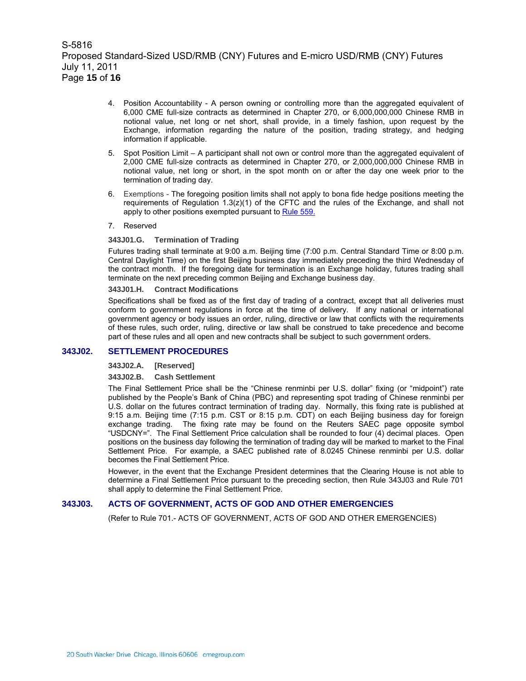S-5816 Proposed Standard-Sized USD/RMB (CNY) Futures and E-micro USD/RMB (CNY) Futures July 11, 2011 Page **15** of **16**

- 4. Position Accountability A person owning or controlling more than the aggregated equivalent of 6,000 CME full-size contracts as determined in Chapter 270, or 6,000,000,000 Chinese RMB in notional value, net long or net short, shall provide, in a timely fashion, upon request by the Exchange, information regarding the nature of the position, trading strategy, and hedging information if applicable.
- 5. Spot Position Limit A participant shall not own or control more than the aggregated equivalent of 2,000 CME full-size contracts as determined in Chapter 270, or 2,000,000,000 Chinese RMB in notional value, net long or short, in the spot month on or after the day one week prior to the termination of trading day.
- 6. Exemptions The foregoing position limits shall not apply to bona fide hedge positions meeting the requirements of Regulation  $1.3(z)(1)$  of the CFTC and the rules of the Exchange, and shall not apply to other positions exempted pursuant to Rule 559.
- 7. Reserved

#### **343J01.G. Termination of Trading**

Futures trading shall terminate at 9:00 a.m. Beijing time (7:00 p.m. Central Standard Time or 8:00 p.m. Central Daylight Time) on the first Beijing business day immediately preceding the third Wednesday of the contract month. If the foregoing date for termination is an Exchange holiday, futures trading shall terminate on the next preceding common Beijing and Exchange business day.

#### **343J01.H. Contract Modifications**

Specifications shall be fixed as of the first day of trading of a contract, except that all deliveries must conform to government regulations in force at the time of delivery. If any national or international government agency or body issues an order, ruling, directive or law that conflicts with the requirements of these rules, such order, ruling, directive or law shall be construed to take precedence and become part of these rules and all open and new contracts shall be subject to such government orders.

#### **343J02. SETTLEMENT PROCEDURES**

**343J02.A. [Reserved]** 

#### **343J02.B. Cash Settlement**

The Final Settlement Price shall be the "Chinese renminbi per U.S. dollar" fixing (or "midpoint") rate published by the People's Bank of China (PBC) and representing spot trading of Chinese renminbi per U.S. dollar on the futures contract termination of trading day. Normally, this fixing rate is published at 9:15 a.m. Beijing time (7:15 p.m. CST or 8:15 p.m. CDT) on each Beijing business day for foreign exchange trading. The fixing rate may be found on the Reuters SAEC page opposite symbol "USDCNY=". The Final Settlement Price calculation shall be rounded to four (4) decimal places. Open positions on the business day following the termination of trading day will be marked to market to the Final Settlement Price. For example, a SAEC published rate of 8.0245 Chinese renminbi per U.S. dollar becomes the Final Settlement Price.

However, in the event that the Exchange President determines that the Clearing House is not able to determine a Final Settlement Price pursuant to the preceding section, then Rule 343J03 and Rule 701 shall apply to determine the Final Settlement Price.

#### **343J03. ACTS OF GOVERNMENT, ACTS OF GOD AND OTHER EMERGENCIES**

(Refer to Rule 701.- ACTS OF GOVERNMENT, ACTS OF GOD AND OTHER EMERGENCIES)